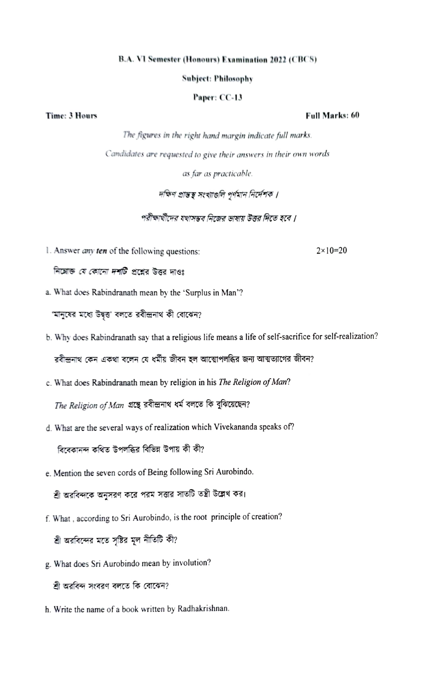### B.A. VI Semester (Honours) Examination 2022 (CBCS)

### Subjeet: Philosophy

# Paper: CC-13

# Time: 3 Hours Full Marks: 60

The figures in the right hamd margin indicate full marks Camdidates are requested to give their answers in their own words as far as practicable.

# দক্ষিণ প্ৰান্তস্থ সংখ্যাগুলি পূৰ্ণমান নিৰ্দেশক।

পরীক্ষার্থীদের যথাসম্ভব নিজের ভাষায় উত্তর দিতে হবে ।

1. Answer *any ten* of the following questions:  $2 \times 10 = 20$ 

নিম্নোক্ত *যে কোনো দর্শটি* প্রশ্নের উত্তর দাওঃ

a. What does Rabindranath mean by the "Surplus in Man'?

'মানুষের মধ্যে উদ্বন্ত' বলতে রবীন্দ্রনাথ কী বোঝেন?

b.Why does Rabindranath say that a religious life means a life of self-sacrifice for self-realization?

রবীন্দ্রনাথ কেন একথা বলেন যে ধর্মীয় জীবন হল আত্মোপলব্ধির জন্য আত্মত্যাগের জীবন?

c. What does Rabindranath mean by religion in his The Religion of Man?

The Religion of Man গ্ৰন্থে রবীন্দ্রনাথ ধর্ম বলতে কি বুঝিয়েছেন?

d.What are the several ways of realization which Vivekananda speaks of?

বিবেকানন্দ কথিত উপলব্ধির বিভিন্ন উপায় কী কী?

e. Mention the seven cords of Being following Sri Aurobindo.

শ্রী অরবিন্দকে অনুসরণ করে পরম সত্তার সাতটি তন্ত্রী উল্লেখ কর।

f. What, according to Sri Aurobindo, is the root principle of creation?

শ্রী অরবিন্দের মতে সৃষ্টির মূল নীতিটি কী?

g. What does Sri Aurobindo mean by involution?

শ্রী অরবিন্দ সংবরণ বলতে কি বোঝেন?

h. Write the name of a book written by Radhakrishnan.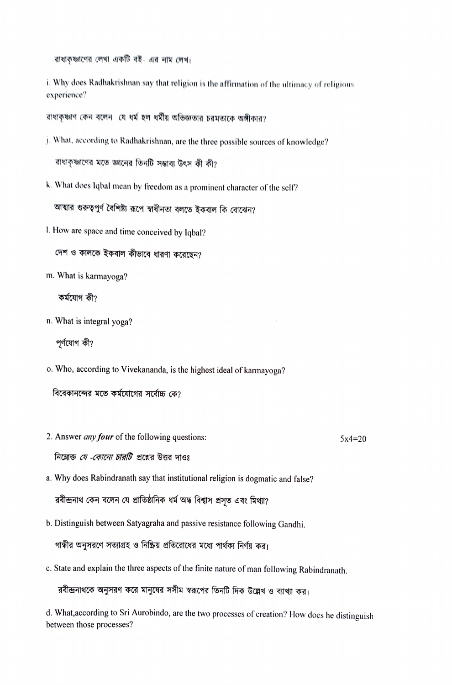রাধাকৃষ্ণাণের লেখা একটি বই- এর নাম লেখ।

i. Why does Radhakrishnan say that religion is the affirmation of the ultimacy of religious experience?

রাধাকৃষ্ণাণ কেন বলেন যে ধর্ম হল ধর্মীয় অভিজ্ঞতার চরমতাকে অঙ্গীকার?

- j. What, according to Radhakrishnan, are the three possible sources of knowledge? রাধাকৃষ্ণাণের মতে জ্ঞানের তিনটি সম্ভাব্য উৎস কী কী?
- k. What does lqbal mean by freedom as a prominent character of the self?

আত্মার গুরুত্বপূর্ণ বৈশিষ্ট্য রূপে স্বাধীনতা বলতে ইকবাল কি বোঝেন?

I. How are space and time conceived by Iqbal?

দেশ ও কালকে ইকবাল কীভাবে ধারণা করেছেন?

m. What is karmayoga?

কৰ্মযোগ কী?

n. What is integral yoga?

পূর্ণযোগ কী?

O. Who, according to Vivekananda, is the highest ideal of karmayoga?

বিবেকানন্দের মতে কর্মযোগের সর্বোচ্চ কে?

2. Answer *any four* of the following questions:  $5x4=20$ 

নিম্নোক্ত *যে -কোনো চারটি* প্রশ্নের উত্তর দাওঃ

- a. Why does Rabindranath say that institutional religion is dogmatic and false? রবীন্দ্রনাথ কেন বলেন যে প্রাতিষ্ঠানিক ধর্ম অন্ধ বিশ্বাস প্রসৃত এবং মিথ্যা?
- b. Distinguish between Satyagraha and passive resistance following Gandhi.

গান্ধীর অনুসরণে সত্যাগ্রহ ও নিষ্ক্রিয় প্রতিরোধের মধ্যে পার্থক্য নির্ণয় কর।

c. State and explain the three aspects of the finite nature of man following Rabindranath.

রবীন্দ্রনাথকে অনুসরণ করে মানুষের সসীম স্বরূপের তিনটি দিক উল্লেখ ও ব্যাখ্যা কর।

d. What,according to Sri Aurobindo, are the two processes of creation'? How does he distinguish between those processes?